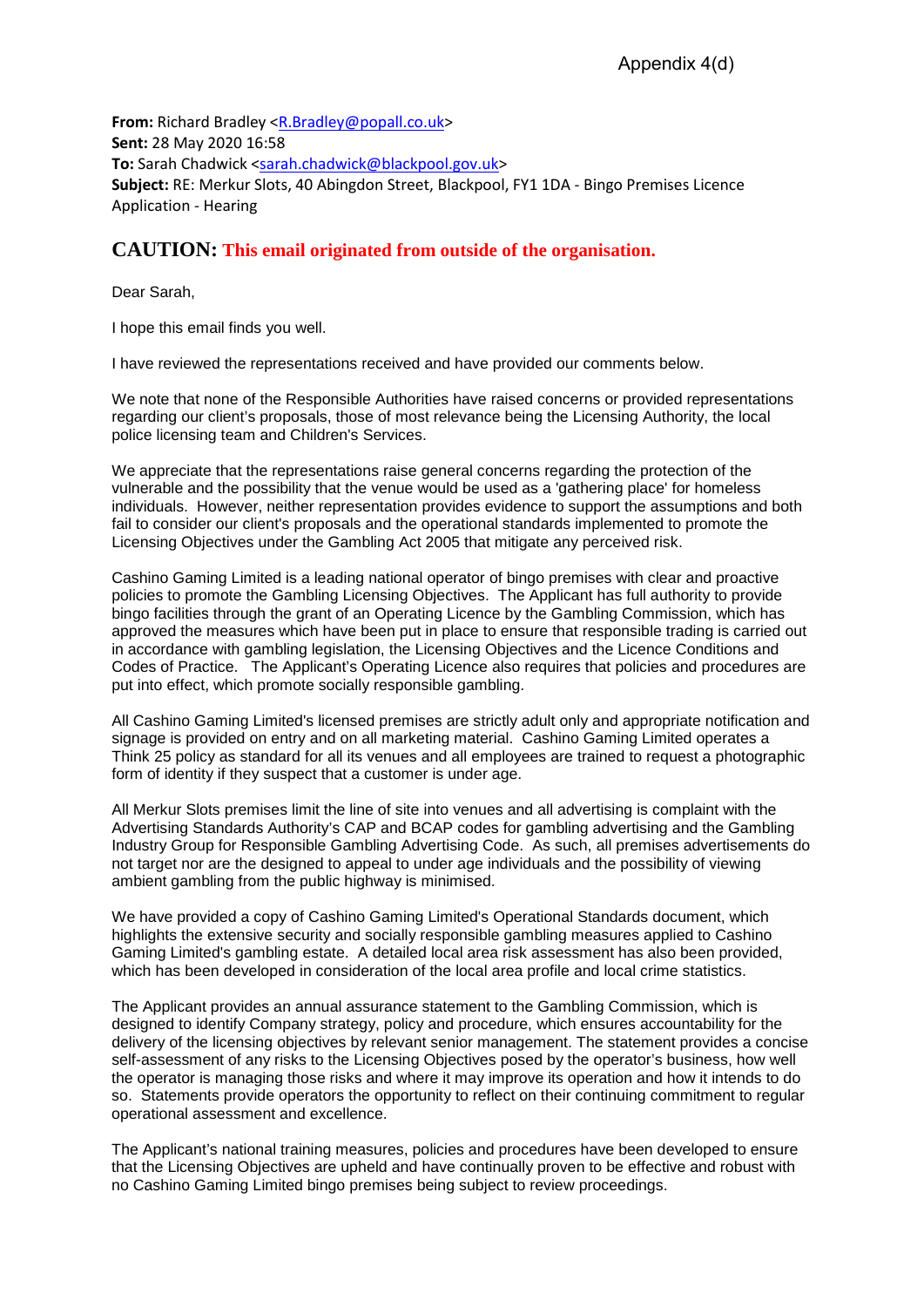**From:** Richard Bradley [<R.Bradley@popall.co.uk>](mailto:R.Bradley@popall.co.uk) **Sent:** 28 May 2020 16:58 **To:** Sarah Chadwick [<sarah.chadwick@blackpool.gov.uk>](mailto:sarah.chadwick@blackpool.gov.uk) **Subject:** RE: Merkur Slots, 40 Abingdon Street, Blackpool, FY1 1DA - Bingo Premises Licence Application - Hearing

## **CAUTION: This email originated from outside of the organisation.**

Dear Sarah,

I hope this email finds you well.

I have reviewed the representations received and have provided our comments below.

We note that none of the Responsible Authorities have raised concerns or provided representations regarding our client's proposals, those of most relevance being the Licensing Authority, the local police licensing team and Children's Services.

We appreciate that the representations raise general concerns regarding the protection of the vulnerable and the possibility that the venue would be used as a 'gathering place' for homeless individuals. However, neither representation provides evidence to support the assumptions and both fail to consider our client's proposals and the operational standards implemented to promote the Licensing Objectives under the Gambling Act 2005 that mitigate any perceived risk.

Cashino Gaming Limited is a leading national operator of bingo premises with clear and proactive policies to promote the Gambling Licensing Objectives. The Applicant has full authority to provide bingo facilities through the grant of an Operating Licence by the Gambling Commission, which has approved the measures which have been put in place to ensure that responsible trading is carried out in accordance with gambling legislation, the Licensing Objectives and the Licence Conditions and Codes of Practice. The Applicant's Operating Licence also requires that policies and procedures are put into effect, which promote socially responsible gambling.

All Cashino Gaming Limited's licensed premises are strictly adult only and appropriate notification and signage is provided on entry and on all marketing material. Cashino Gaming Limited operates a Think 25 policy as standard for all its venues and all employees are trained to request a photographic form of identity if they suspect that a customer is under age.

All Merkur Slots premises limit the line of site into venues and all advertising is complaint with the Advertising Standards Authority's CAP and BCAP codes for gambling advertising and the Gambling Industry Group for Responsible Gambling Advertising Code. As such, all premises advertisements do not target nor are the designed to appeal to under age individuals and the possibility of viewing ambient gambling from the public highway is minimised.

We have provided a copy of Cashino Gaming Limited's Operational Standards document, which highlights the extensive security and socially responsible gambling measures applied to Cashino Gaming Limited's gambling estate. A detailed local area risk assessment has also been provided, which has been developed in consideration of the local area profile and local crime statistics.

The Applicant provides an annual assurance statement to the Gambling Commission, which is designed to identify Company strategy, policy and procedure, which ensures accountability for the delivery of the licensing objectives by relevant senior management. The statement provides a concise self-assessment of any risks to the Licensing Objectives posed by the operator's business, how well the operator is managing those risks and where it may improve its operation and how it intends to do so. Statements provide operators the opportunity to reflect on their continuing commitment to regular operational assessment and excellence.

The Applicant's national training measures, policies and procedures have been developed to ensure that the Licensing Objectives are upheld and have continually proven to be effective and robust with no Cashino Gaming Limited bingo premises being subject to review proceedings.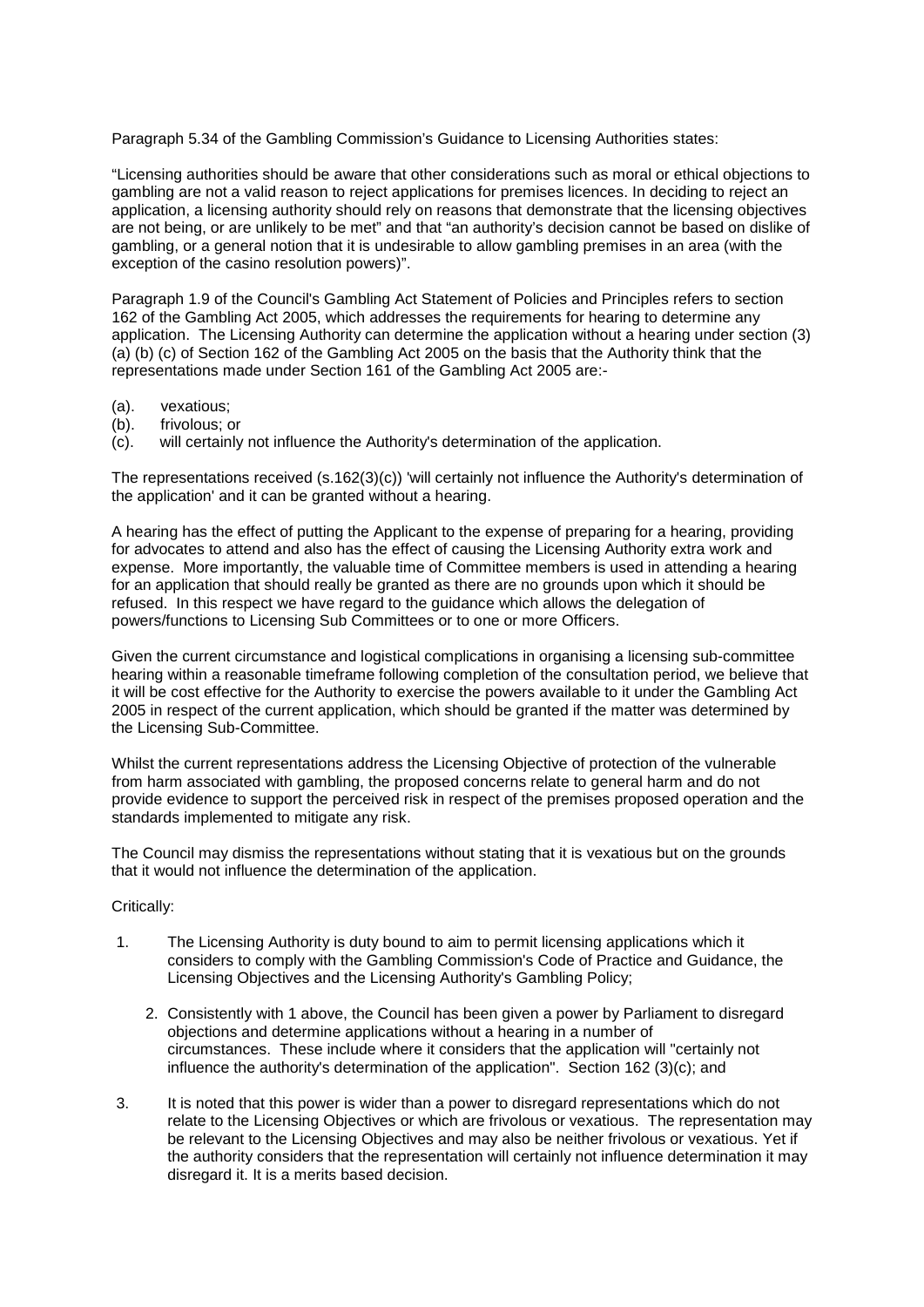Paragraph 5.34 of the Gambling Commission's Guidance to Licensing Authorities states:

"Licensing authorities should be aware that other considerations such as moral or ethical objections to gambling are not a valid reason to reject applications for premises licences. In deciding to reject an application, a licensing authority should rely on reasons that demonstrate that the licensing objectives are not being, or are unlikely to be met" and that "an authority's decision cannot be based on dislike of gambling, or a general notion that it is undesirable to allow gambling premises in an area (with the exception of the casino resolution powers)".

Paragraph 1.9 of the Council's Gambling Act Statement of Policies and Principles refers to section 162 of the Gambling Act 2005, which addresses the requirements for hearing to determine any application. The Licensing Authority can determine the application without a hearing under section (3) (a) (b) (c) of Section 162 of the Gambling Act 2005 on the basis that the Authority think that the representations made under Section 161 of the Gambling Act 2005 are:-

- 
- (a). vexatious;<br>(b). frivolous: q frivolous: or

(c). will certainly not influence the Authority's determination of the application.

The representations received (s.162(3)(c)) 'will certainly not influence the Authority's determination of the application' and it can be granted without a hearing.

A hearing has the effect of putting the Applicant to the expense of preparing for a hearing, providing for advocates to attend and also has the effect of causing the Licensing Authority extra work and expense. More importantly, the valuable time of Committee members is used in attending a hearing for an application that should really be granted as there are no grounds upon which it should be refused. In this respect we have regard to the guidance which allows the delegation of powers/functions to Licensing Sub Committees or to one or more Officers.

Given the current circumstance and logistical complications in organising a licensing sub-committee hearing within a reasonable timeframe following completion of the consultation period, we believe that it will be cost effective for the Authority to exercise the powers available to it under the Gambling Act 2005 in respect of the current application, which should be granted if the matter was determined by the Licensing Sub-Committee.

Whilst the current representations address the Licensing Objective of protection of the vulnerable from harm associated with gambling, the proposed concerns relate to general harm and do not provide evidence to support the perceived risk in respect of the premises proposed operation and the standards implemented to mitigate any risk.

The Council may dismiss the representations without stating that it is vexatious but on the grounds that it would not influence the determination of the application.

## Critically:

- 1. The Licensing Authority is duty bound to aim to permit licensing applications which it considers to comply with the Gambling Commission's Code of Practice and Guidance, the Licensing Objectives and the Licensing Authority's Gambling Policy;
	- 2. Consistently with 1 above, the Council has been given a power by Parliament to disregard objections and determine applications without a hearing in a number of circumstances. These include where it considers that the application will "certainly not influence the authority's determination of the application". Section 162 (3)(c); and
- 3. It is noted that this power is wider than a power to disregard representations which do not relate to the Licensing Objectives or which are frivolous or vexatious. The representation may be relevant to the Licensing Objectives and may also be neither frivolous or vexatious. Yet if the authority considers that the representation will certainly not influence determination it may disregard it. It is a merits based decision.